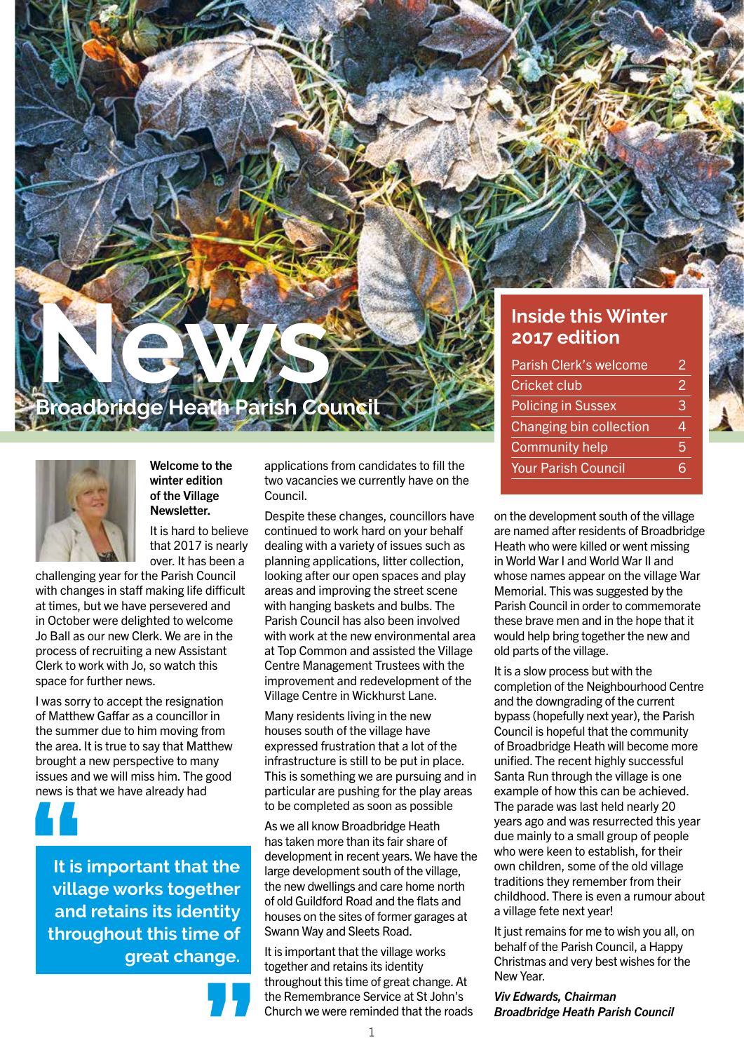#### **Inside this Winter 2017 edition**

| Parish Clerk's welcome     | 2 |
|----------------------------|---|
| Cricket club               | 2 |
| <b>Policing in Sussex</b>  | З |
| Changing bin collection    |   |
| <b>Community help</b>      | 5 |
| <b>Your Parish Council</b> |   |

on the development south of the village are named after residents of Broadbridge Heath who were killed or went missing in World War I and World War II and whose names appear on the village War Memorial. This was suggested by the Parish Council in order to commemorate these brave men and in the hope that it would help bring together the new and old parts of the village.

It is a slow process but with the completion of the Neighbourhood Centre and the downgrading of the current bypass (hopefully next year), the Parish Council is hopeful that the community of Broadbridge Heath will become more unified. The recent highly successful Santa Run through the village is one example of how this can be achieved. The parade was last held nearly 20 years ago and was resurrected this year due mainly to a small group of people who were keen to establish, for their own children, some of the old village traditions they remember from their childhood. There is even a rumour about a village fete next year!

It just remains for me to wish you all, on behalf of the Parish Council, a Happy Christmas and very best wishes for the New Year.

*Viv Edwards, Chairman Broadbridge Heath Parish Council*

#### Welcome to the winter edition of the Village Newsletter.

**News**

It is hard to believe that 2017 is nearly over. It has been a

**Broadbridge Heath Parish Council**

challenging year for the Parish Council with changes in staff making life difficult at times, but we have persevered and in October were delighted to welcome Jo Ball as our new Clerk. We are in the process of recruiting a new Assistant Clerk to work with Jo, so watch this space for further news.

I was sorry to accept the resignation of Matthew Gaffar as a councillor in the summer due to him moving from the area. It is true to say that Matthew brought a new perspective to many issues and we will miss him. The good news is that we have already had



**It is important that the village works together and retains its identity throughout this time of great change. 1**<br>
It is<br>
villa<br>
and



applications from candidates to fill the two vacancies we currently have on the Council.

Despite these changes, councillors have continued to work hard on your behalf dealing with a variety of issues such as planning applications, litter collection, looking after our open spaces and play areas and improving the street scene with hanging baskets and bulbs. The Parish Council has also been involved with work at the new environmental area at Top Common and assisted the Village Centre Management Trustees with the improvement and redevelopment of the Village Centre in Wickhurst Lane.

Many residents living in the new houses south of the village have expressed frustration that a lot of the infrastructure is still to be put in place. This is something we are pursuing and in particular are pushing for the play areas to be completed as soon as possible

As we all know Broadbridge Heath has taken more than its fair share of development in recent years. We have the large development south of the village, the new dwellings and care home north of old Guildford Road and the flats and houses on the sites of former garages at Swann Way and Sleets Road.

It is important that the village works together and retains its identity throughout this time of great change. At the Remembrance Service at St John's Church we were reminded that the roads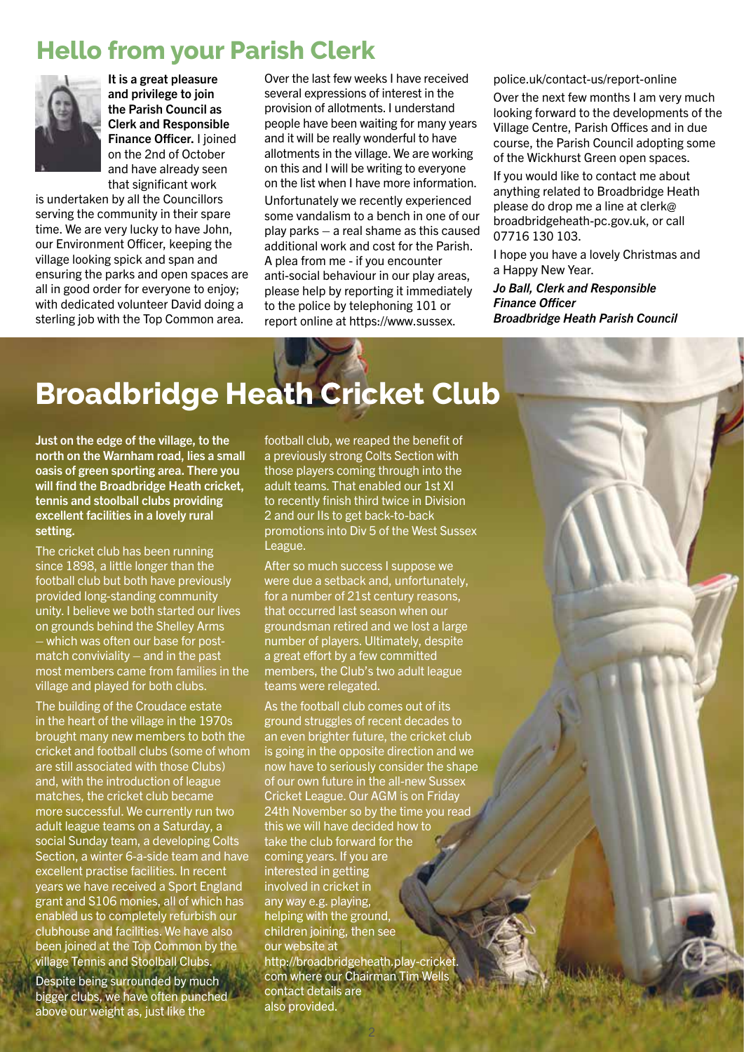## **Hello from your Parish Clerk**



It is a great pleasure and privilege to join the Parish Council as Clerk and Responsible Finance Officer. I joined on the 2nd of October and have already seen that significant work

is undertaken by all the Councillors serving the community in their spare time. We are very lucky to have John, our Environment Officer, keeping the village looking spick and span and ensuring the parks and open spaces are all in good order for everyone to enjoy; with dedicated volunteer David doing a sterling job with the Top Common area.

Over the last few weeks I have received several expressions of interest in the provision of allotments. I understand people have been waiting for many years and it will be really wonderful to have allotments in the village. We are working on this and I will be writing to everyone on the list when I have more information. Unfortunately we recently experienced some vandalism to a bench in one of our play parks – a real shame as this caused additional work and cost for the Parish. A plea from me - if you encounter anti-social behaviour in our play areas, please help by reporting it immediately to the police by telephoning 101 or report online at https://www.sussex.

police.uk/contact-us/report-online

Over the next few months I am very much looking forward to the developments of the Village Centre, Parish Offices and in due course, the Parish Council adopting some of the Wickhurst Green open spaces.

If you would like to contact me about anything related to Broadbridge Heath please do drop me a line at clerk@ broadbridgeheath-pc.gov.uk, or call 07716 130 103.

I hope you have a lovely Christmas and a Happy New Year.

*Jo Ball, Clerk and Responsible Finance Officer Broadbridge Heath Parish Council*

## **Broadbridge Heath Cricket Club**

Just on the edge of the village, to the north on the Warnham road, lies a small oasis of green sporting area. There you will find the Broadbridge Heath cricket, tennis and stoolball clubs providing excellent facilities in a lovely rural setting.

The cricket club has been running since 1898, a little longer than the football club but both have previously provided long-standing community unity. I believe we both started our lives on grounds behind the Shelley Arms – which was often our base for postmatch conviviality  $-$  and in the past most members came from families in the village and played for both clubs.

The building of the Croudace estate in the heart of the village in the 1970s brought many new members to both the cricket and football clubs (some of whom are still associated with those Clubs) and, with the introduction of league matches, the cricket club became more successful. We currently run two adult league teams on a Saturday, a social Sunday team, a developing Colts Section, a winter 6-a-side team and have excellent practise facilities. In recent years we have received a Sport England grant and S106 monies, all of which has enabled us to completely refurbish our clubhouse and facilities. We have also been joined at the Top Common by the village Tennis and Stoolball Clubs.

Despite being surrounded by much bigger clubs, we have often punched above our weight as, just like the

football club, we reaped the benefit of a previously strong Colts Section with those players coming through into the adult teams. That enabled our 1st XI to recently finish third twice in Division 2 and our IIs to get back-to-back promotions into Div 5 of the West Sussex League.

After so much success I suppose we were due a setback and, unfortunately, for a number of 21st century reasons, that occurred last season when our groundsman retired and we lost a large number of players. Ultimately, despite a great effort by a few committed members, the Club's two adult league teams were relegated.

As the football club comes out of its ground struggles of recent decades to an even brighter future, the cricket club is going in the opposite direction and we now have to seriously consider the shape of our own future in the all-new Sussex Cricket League. Our AGM is on Friday 24th November so by the time you read this we will have decided how to take the club forward for the coming years. If you are interested in getting involved in cricket in any way e.g. playing, helping with the ground, children joining, then see our website at http://broadbridgeheath.play-cricket. com where our Chairman Tim Wells contact details are also provided.

2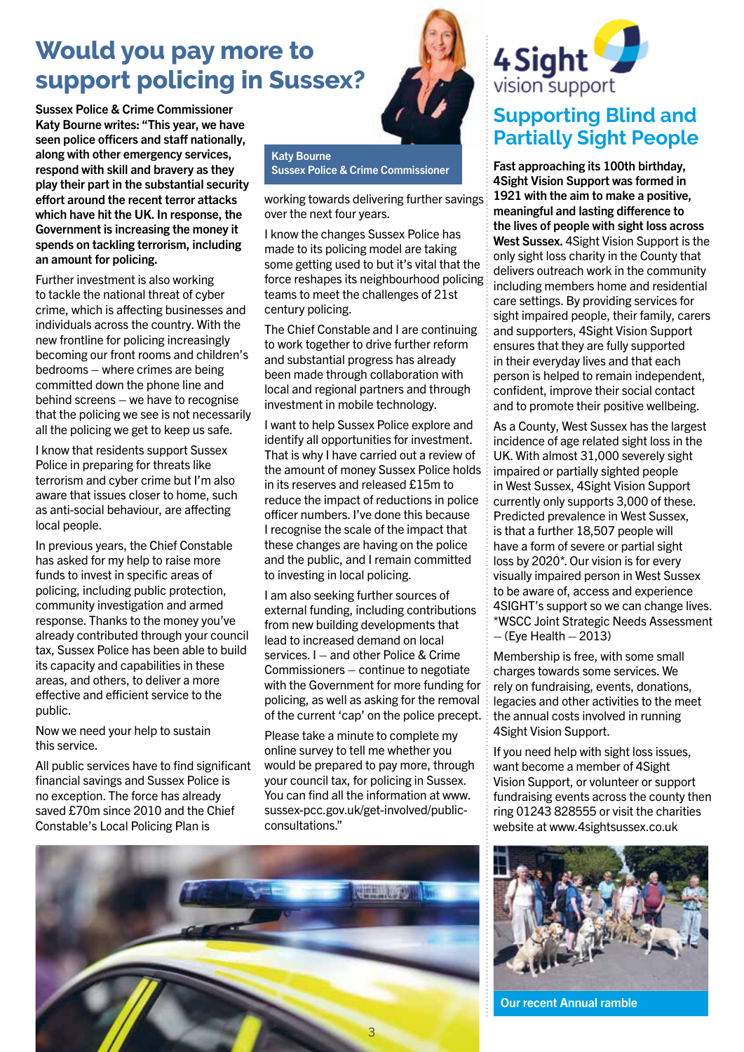## **Would you pay more to support policing in Sussex?**

Sussex Police & Crime Commissioner Katy Bourne writes: "This year, we have seen police officers and staff nationally, along with other emergency services, respond with skill and bravery as they play their part in the substantial security effort around the recent terror attacks which have hit the UK. In response, the Government is increasing the money it spends on tackling terrorism, including an amount for policing.

Further investment is also working to tackle the national threat of cyber crime, which is affecting businesses and individuals across the country. With the new frontline for policing increasingly becoming our front rooms and children's bedrooms – where crimes are being committed down the phone line and behind screens – we have to recognise that the policing we see is not necessarily all the policing we get to keep us safe.

I know that residents support Sussex Police in preparing for threats like terrorism and cyber crime but I'm also aware that issues closer to home, such as anti-social behaviour, are affecting local people.

In previous years, the Chief Constable has asked for my help to raise more funds to invest in specific areas of policing, including public protection, community investigation and armed response. Thanks to the money you've already contributed through your council tax, Sussex Police has been able to build its capacity and capabilities in these areas, and others, to deliver a more effective and efficient service to the public.

Now we need your help to sustain this service.

All public services have to find significant financial savings and Sussex Police is no exception. The force has already saved £70m since 2010 and the Chief Constable's Local Policing Plan is



Katy Bourne Sussex Police & Crime Commissioner

working towards delivering further savings over the next four years.

I know the changes Sussex Police has made to its policing model are taking some getting used to but it's vital that the force reshapes its neighbourhood policing teams to meet the challenges of 21st century policing.

The Chief Constable and I are continuing to work together to drive further reform and substantial progress has already been made through collaboration with local and regional partners and through investment in mobile technology.

I want to help Sussex Police explore and identify all opportunities for investment. That is why I have carried out a review of the amount of money Sussex Police holds in its reserves and released £15m to reduce the impact of reductions in police officer numbers. I've done this because I recognise the scale of the impact that these changes are having on the police and the public, and I remain committed to investing in local policing.

I am also seeking further sources of external funding, including contributions from new building developments that lead to increased demand on local services. I – and other Police & Crime Commissioners – continue to negotiate with the Government for more funding for policing, as well as asking for the removal of the current 'cap' on the police precept.

Please take a minute to complete my online survey to tell me whether you would be prepared to pay more, through your council tax, for policing in Sussex. You can find all the information at www. sussex-pcc.gov.uk/get-involved/publicconsultations."





## **Supporting Blind and Partially Sight People**

Fast approaching its 100th birthday, 4Sight Vision Support was formed in 1921 with the aim to make a positive, meaningful and lasting difference to the lives of people with sight loss across West Sussex. 4Sight Vision Support is the only sight loss charity in the County that delivers outreach work in the community including members home and residential care settings. By providing services for sight impaired people, their family, carers and supporters, 4Sight Vision Support ensures that they are fully supported in their everyday lives and that each person is helped to remain independent, confident, improve their social contact and to promote their positive wellbeing.

As a County, West Sussex has the largest incidence of age related sight loss in the UK. With almost 31,000 severely sight impaired or partially sighted people in West Sussex, 4Sight Vision Support currently only supports 3,000 of these. Predicted prevalence in West Sussex, is that a further 18,507 people will have a form of severe or partial sight loss by 2020\*. Our vision is for every visually impaired person in West Sussex to be aware of, access and experience 4SIGHT's support so we can change lives. \*WSCC Joint Strategic Needs Assessment  $-$  (Eye Health  $-$  2013)

Membership is free, with some small charges towards some services. We rely on fundraising, events, donations, legacies and other activities to the meet the annual costs involved in running 4Sight Vision Support.

If you need help with sight loss issues, want become a member of 4Sight Vision Support, or volunteer or support fundraising events across the county then ring 01243 828555 or visit the charities website at www.4sightsussex.co.uk



Our recent Annual ramble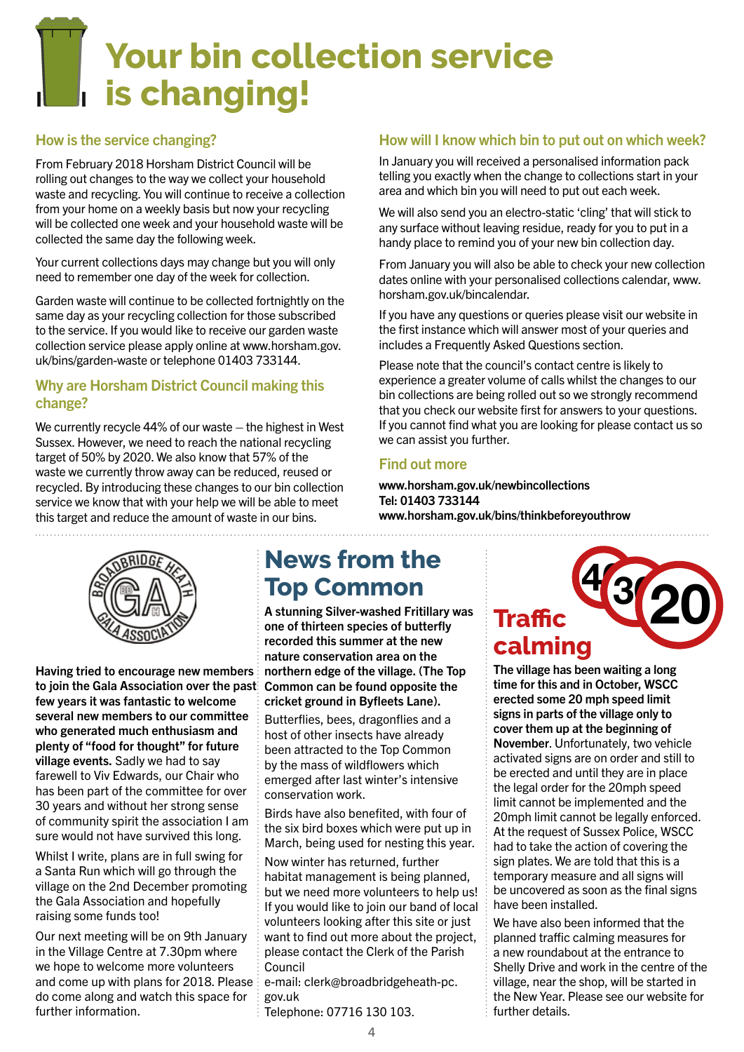## **Your bin collection service is changing!**

#### How is the service changing?

From February 2018 Horsham District Council will be rolling out changes to the way we collect your household waste and recycling. You will continue to receive a collection from your home on a weekly basis but now your recycling will be collected one week and your household waste will be collected the same day the following week.

Your current collections days may change but you will only need to remember one day of the week for collection.

Garden waste will continue to be collected fortnightly on the same day as your recycling collection for those subscribed to the service. If you would like to receive our garden waste collection service please apply online at www.horsham.gov. uk/bins/garden-waste or telephone 01403 733144.

#### Why are Horsham District Council making this change?

We currently recycle 44% of our waste – the highest in West Sussex. However, we need to reach the national recycling target of 50% by 2020. We also know that 57% of the waste we currently throw away can be reduced, reused or recycled. By introducing these changes to our bin collection service we know that with your help we will be able to meet this target and reduce the amount of waste in our bins.

#### How will I know which bin to put out on which week?

In January you will received a personalised information pack telling you exactly when the change to collections start in your area and which bin you will need to put out each week.

We will also send you an electro-static 'cling' that will stick to any surface without leaving residue, ready for you to put in a handy place to remind you of your new bin collection day.

From January you will also be able to check your new collection dates online with your personalised collections calendar, www. horsham.gov.uk/bincalendar.

If you have any questions or queries please visit our website in the first instance which will answer most of your queries and includes a Frequently Asked Questions section.

Please note that the council's contact centre is likely to experience a greater volume of calls whilst the changes to our bin collections are being rolled out so we strongly recommend that you check our website first for answers to your questions. If you cannot find what you are looking for please contact us so we can assist you further.

#### Find out more

www.horsham.gov.uk/newbincollections Tel: 01403 733144 www.horsham.gov.uk/bins/thinkbeforeyouthrow



Having tried to encourage new members to join the Gala Association over the past few years it was fantastic to welcome several new members to our committee who generated much enthusiasm and plenty of "food for thought" for future village events. Sadly we had to say farewell to Viv Edwards, our Chair who has been part of the committee for over 30 years and without her strong sense of community spirit the association I am sure would not have survived this long.

Whilst I write, plans are in full swing for a Santa Run which will go through the village on the 2nd December promoting the Gala Association and hopefully raising some funds too!

Our next meeting will be on 9th January in the Village Centre at 7.30pm where we hope to welcome more volunteers and come up with plans for 2018. Please do come along and watch this space for further information.

## **News from the Top Common**

A stunning Silver-washed Fritillary was one of thirteen species of butterfly recorded this summer at the new nature conservation area on the northern edge of the village. (The Top Common can be found opposite the cricket ground in Byfleets Lane).

Butterflies, bees, dragonflies and a host of other insects have already been attracted to the Top Common by the mass of wildflowers which emerged after last winter's intensive conservation work.

Birds have also benefited, with four of the six bird boxes which were put up in March, being used for nesting this year.

Now winter has returned, further habitat management is being planned, but we need more volunteers to help us! If you would like to join our band of local volunteers looking after this site or just want to find out more about the project, please contact the Clerk of the Parish Council

e-mail: clerk@broadbridgeheath-pc. gov.uk

Telephone: 07716 130 103.



The village has been waiting a long time for this and in October, WSCC erected some 20 mph speed limit signs in parts of the village only to cover them up at the beginning of November. Unfortunately, two vehicle activated signs are on order and still to be erected and until they are in place the legal order for the 20mph speed limit cannot be implemented and the 20mph limit cannot be legally enforced. At the request of Sussex Police, WSCC had to take the action of covering the sign plates. We are told that this is a temporary measure and all signs will be uncovered as soon as the final signs have been installed.

We have also been informed that the planned traffic calming measures for a new roundabout at the entrance to Shelly Drive and work in the centre of the village, near the shop, will be started in the New Year. Please see our website for further details.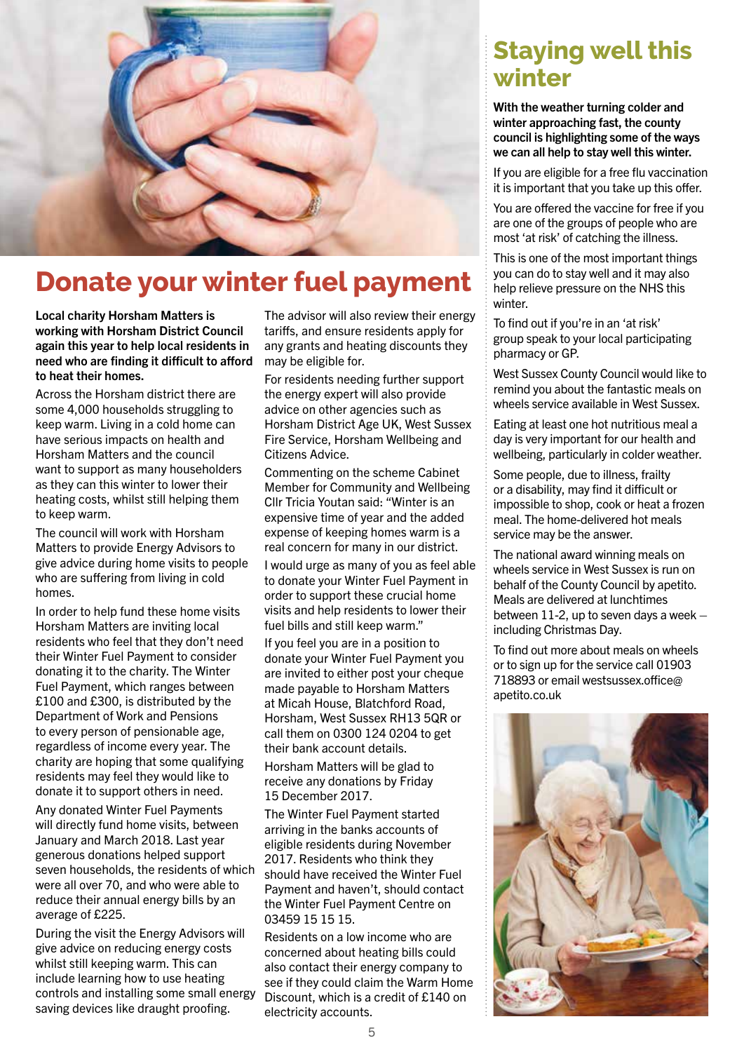

## **Donate your winter fuel payment**

Local charity Horsham Matters is working with Horsham District Council again this year to help local residents in need who are finding it difficult to afford to heat their homes.

Across the Horsham district there are some 4,000 households struggling to keep warm. Living in a cold home can have serious impacts on health and Horsham Matters and the council want to support as many householders as they can this winter to lower their heating costs, whilst still helping them to keep warm.

The council will work with Horsham Matters to provide Energy Advisors to give advice during home visits to people who are suffering from living in cold homes.

In order to help fund these home visits Horsham Matters are inviting local residents who feel that they don't need their Winter Fuel Payment to consider donating it to the charity. The Winter Fuel Payment, which ranges between £100 and £300, is distributed by the Department of Work and Pensions to every person of pensionable age, regardless of income every year. The charity are hoping that some qualifying residents may feel they would like to donate it to support others in need.

Any donated Winter Fuel Payments will directly fund home visits, between January and March 2018. Last year generous donations helped support seven households, the residents of which were all over 70, and who were able to reduce their annual energy bills by an average of £225.

During the visit the Energy Advisors will give advice on reducing energy costs whilst still keeping warm. This can include learning how to use heating controls and installing some small energy saving devices like draught proofing.

The advisor will also review their energy tariffs, and ensure residents apply for any grants and heating discounts they may be eligible for.

For residents needing further support the energy expert will also provide advice on other agencies such as Horsham District Age UK, West Sussex Fire Service, Horsham Wellbeing and Citizens Advice.

Commenting on the scheme Cabinet Member for Community and Wellbeing Cllr Tricia Youtan said: "Winter is an expensive time of year and the added expense of keeping homes warm is a real concern for many in our district.

I would urge as many of you as feel able to donate your Winter Fuel Payment in order to support these crucial home visits and help residents to lower their fuel bills and still keep warm."

If you feel you are in a position to donate your Winter Fuel Payment you are invited to either post your cheque made payable to Horsham Matters at Micah House, Blatchford Road, Horsham, West Sussex RH13 5QR or call them on 0300 124 0204 to get their bank account details.

Horsham Matters will be glad to receive any donations by Friday 15 December 2017.

The Winter Fuel Payment started arriving in the banks accounts of eligible residents during November 2017. Residents who think they should have received the Winter Fuel Payment and haven't, should contact the Winter Fuel Payment Centre on 03459 15 15 15.

Residents on a low income who are concerned about heating bills could also contact their energy company to see if they could claim the Warm Home Discount, which is a credit of £140 on electricity accounts.

## **Staying well this winter**

With the weather turning colder and winter approaching fast, the county council is highlighting some of the ways we can all help to stay well this winter.

If you are eligible for a free flu vaccination it is important that you take up this offer.

You are offered the vaccine for free if you are one of the groups of people who are most 'at risk' of catching the illness.

This is one of the most important things you can do to stay well and it may also help relieve pressure on the NHS this winter.

To find out if you're in an 'at risk' group speak to your local participating pharmacy or GP.

West Sussex County Council would like to remind you about the fantastic meals on wheels service available in West Sussex.

Eating at least one hot nutritious meal a day is very important for our health and wellbeing, particularly in colder weather.

Some people, due to illness, frailty or a disability, may find it difficult or impossible to shop, cook or heat a frozen meal. The home-delivered hot meals service may be the answer.

The national award winning meals on wheels service in West Sussex is run on behalf of the County Council by apetito. Meals are delivered at lunchtimes between 11-2, up to seven days a week  $$ including Christmas Day.

To find out more about meals on wheels or to sign up for the service call 01903 718893 or email westsussex.office@ apetito.co.uk